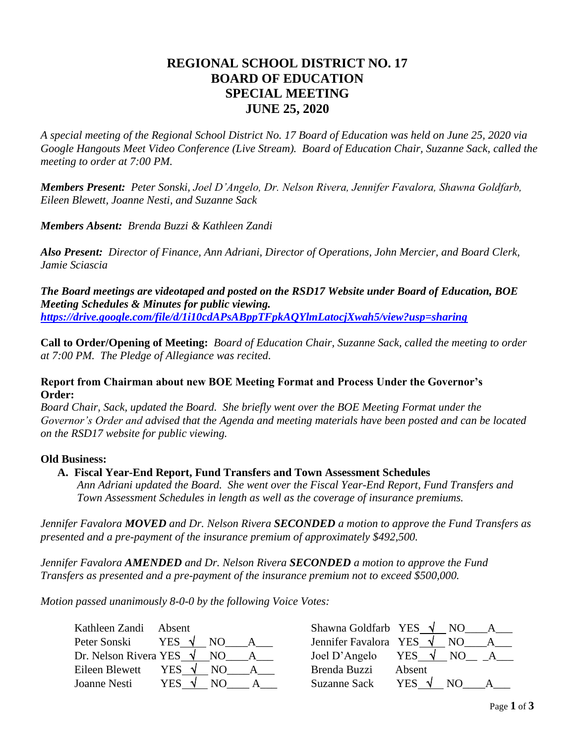# **REGIONAL SCHOOL DISTRICT NO. 17 BOARD OF EDUCATION SPECIAL MEETING JUNE 25, 2020**

*A special meeting of the Regional School District No. 17 Board of Education was held on June 25, 2020 via Google Hangouts Meet Video Conference (Live Stream). Board of Education Chair, Suzanne Sack, called the meeting to order at 7:00 PM.*

*Members Present: Peter Sonski, Joel D'Angelo, Dr. Nelson Rivera, Jennifer Favalora, Shawna Goldfarb, Eileen Blewett, Joanne Nesti, and Suzanne Sack*

*Members Absent: Brenda Buzzi & Kathleen Zandi*

*Also Present: Director of Finance, Ann Adriani, Director of Operations, John Mercier, and Board Clerk, Jamie Sciascia* 

*The Board meetings are videotaped and posted on the RSD17 Website under Board of Education, BOE Meeting Schedules & Minutes for public viewing. <https://drive.google.com/file/d/1i10cdAPsABppTFpkAQYlmLatocjXwah5/view?usp=sharing>*

**Call to Order/Opening of Meeting:** *Board of Education Chair, Suzanne Sack, called the meeting to order at 7:00 PM. The Pledge of Allegiance was recited.*

#### **Report from Chairman about new BOE Meeting Format and Process Under the Governor's Order:**

*Board Chair, Sack, updated the Board. She briefly went over the BOE Meeting Format under the Governor's Order and advised that the Agenda and meeting materials have been posted and can be located on the RSD17 website for public viewing.* 

#### **Old Business:**

#### **A. Fiscal Year-End Report, Fund Transfers and Town Assessment Schedules**

*Ann Adriani updated the Board. She went over the Fiscal Year-End Report, Fund Transfers and Town Assessment Schedules in length as well as the coverage of insurance premiums.*

*Jennifer Favalora MOVED and Dr. Nelson Rivera SECONDED a motion to approve the Fund Transfers as presented and a pre-payment of the insurance premium of approximately \$492,500.*

*Jennifer Favalora AMENDED and Dr. Nelson Rivera SECONDED a motion to approve the Fund Transfers as presented and a pre-payment of the insurance premium not to exceed \$500,000.*

*Motion passed unanimously 8-0-0 by the following Voice Votes:*

| Kathleen Zandi                  | Absent         |                | Shawna Goldfarb YES $\sqrt{N}$ NO |                |     |   |
|---------------------------------|----------------|----------------|-----------------------------------|----------------|-----|---|
| Peter Sonski                    | YES $\sqrt{ }$ | NO.            | Jennifer Favalora YES $\sqrt{}$   |                | NO. | A |
| Dr. Nelson Rivera YES $\sqrt{}$ |                | NO.            | Joel D'Angelo YES $\sqrt{NO}$     |                |     |   |
| Eileen Blewett                  | YES $\sqrt{ }$ | N <sub>O</sub> | Brenda Buzzi                      | Absent         |     |   |
| Joanne Nesti                    | YES $\sqrt{ }$ | NO.            | Suzanne Sack                      | YES $\sqrt{ }$ | NO. |   |

| Shawna Goldfarb YES   |            | NO. |  |
|-----------------------|------------|-----|--|
| Jennifer Favalora YES |            | NO. |  |
| Joel D'Angelo         | <b>YES</b> | NO. |  |
| Brenda Buzzi          | Absent     |     |  |
| Suzanne Sack          | <b>YES</b> | N() |  |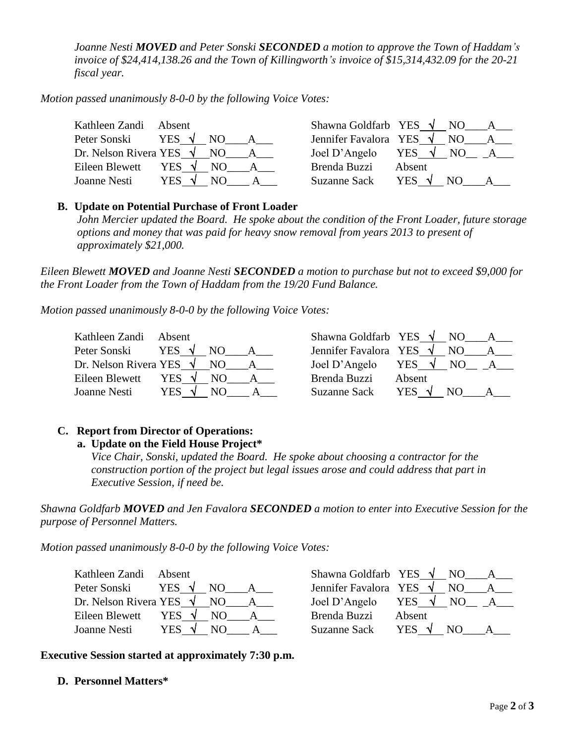*Joanne Nesti MOVED and Peter Sonski SECONDED a motion to approve the Town of Haddam's invoice of \$24,414,138.26 and the Town of Killingworth's invoice of \$15,314,432.09 for the 20-21 fiscal year.*

*Motion passed unanimously 8-0-0 by the following Voice Votes:*

| Kathleen Zandi                  | Absent                | Shawna Goldfarb YES $\sqrt{}$   |                 | NO. | $A \quad$        |
|---------------------------------|-----------------------|---------------------------------|-----------------|-----|------------------|
| Peter Sonski                    | YES $\sqrt{}$<br>NO.  | Jennifer Favalora YES $\sqrt{}$ |                 | NO. | $A \quad \alpha$ |
| Dr. Nelson Rivera YES $\sqrt{}$ | NO                    | Joel D'Angelo                   | YES $\sqrt{NO}$ |     | $A_{\perp}$      |
| Eileen Blewett                  | YES $\sqrt{ }$<br>NO. | Brenda Buzzi                    | Absent          |     |                  |
| Joanne Nesti                    | YES .<br>NO.          | <b>Suzanne Sack</b>             | YES $\sqrt{ }$  |     |                  |

#### **B. Update on Potential Purchase of Front Loader**

*John Mercier updated the Board. He spoke about the condition of the Front Loader, future storage options and money that was paid for heavy snow removal from years 2013 to present of approximately \$21,000.*

*Eileen Blewett MOVED and Joanne Nesti SECONDED a motion to purchase but not to exceed \$9,000 for the Front Loader from the Town of Haddam from the 19/20 Fund Balance.*

*Motion passed unanimously 8-0-0 by the following Voice Votes:*

| Kathleen Zandi<br>Absent                | Shawna Goldfarb YES $\sqrt{}$ NO |                 |     |  |
|-----------------------------------------|----------------------------------|-----------------|-----|--|
| YES $\sqrt{ }$<br>Peter Sonski<br>NO.   | Jennifer Favalora YES $\sqrt{}$  |                 | NO. |  |
| Dr. Nelson Rivera YES $\sqrt{}$<br>NO.  | Joel D'Angelo                    | YES $\sqrt{NO}$ |     |  |
| Eileen Blewett<br>YES $\sqrt{ }$<br>NO. | Brenda Buzzi                     | Absent          |     |  |
| <b>YES</b><br>Joanne Nesti<br>NO.       | <b>Suzanne Sack</b>              | YES $\sqrt{ }$  | NO. |  |

#### **C. Report from Director of Operations: a. Update on the Field House Project\***

### *Vice Chair, Sonski, updated the Board. He spoke about choosing a contractor for the construction portion of the project but legal issues arose and could address that part in Executive Session, if need be.*

*Shawna Goldfarb MOVED and Jen Favalora SECONDED a motion to enter into Executive Session for the purpose of Personnel Matters.* 

*Motion passed unanimously 8-0-0 by the following Voice Votes:*

| Kathleen Zandi Absent           |                      | Shawna Goldfarb YES $\sqrt{N}$ NO | $\mathbf{A}$          |
|---------------------------------|----------------------|-----------------------------------|-----------------------|
| Peter Sonski                    | YES $\sqrt{}$<br>NO. | Jennifer Favalora YES $\sqrt{}$   | NO.                   |
| Dr. Nelson Rivera YES $\sqrt{}$ | NO                   | Joel D'Angelo YES $\sqrt{}$       | NO.                   |
| Eileen Blewett                  | YES V<br>NO.         | Brenda Buzzi                      | Absent                |
| Joanne Nesti                    | YES V<br>N()         | <b>Suzanne Sack</b>               | YES $\sqrt{ }$<br>NO. |

| Shawna Goldfarb YES  |            | NO. |  |
|----------------------|------------|-----|--|
| ennifer Favalora YES |            | NО  |  |
| oel D'Angelo         | <b>YES</b> | NO. |  |
| Brenda Buzzi         | Absent     |     |  |
| Suzanne Sack         | <b>YES</b> | NO. |  |

**Executive Session started at approximately 7:30 p.m.**

#### **D. Personnel Matters\***